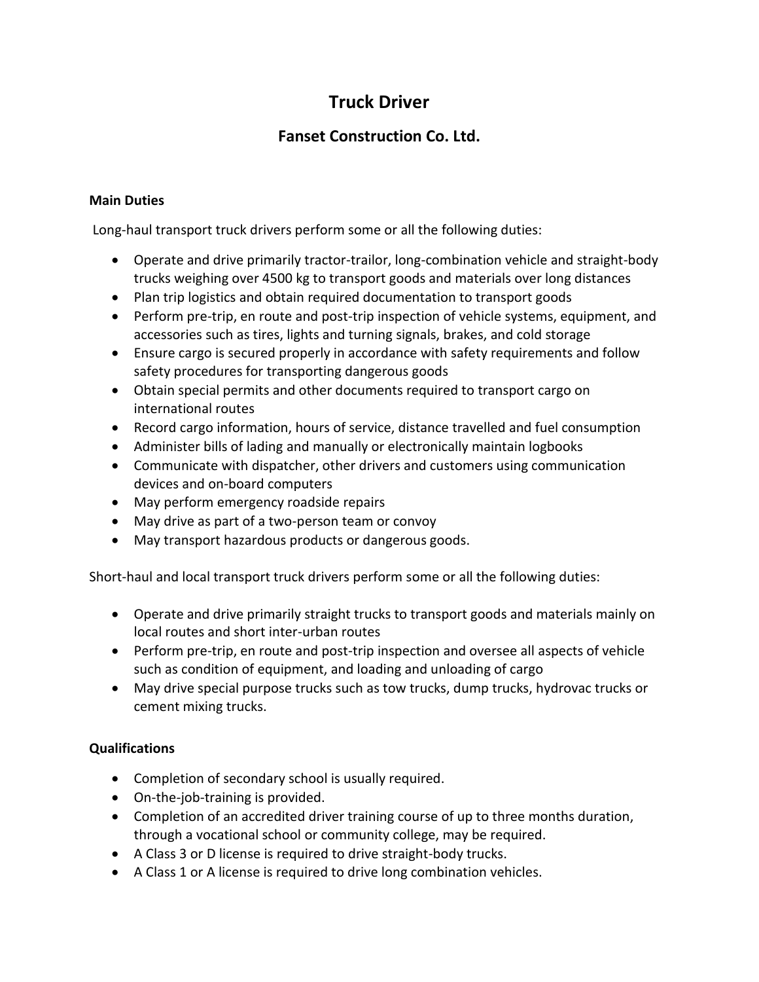# **Truck Driver**

## **Fanset Construction Co. Ltd.**

#### **Main Duties**

Long-haul transport truck drivers perform some or all the following duties:

- Operate and drive primarily tractor-trailor, long-combination vehicle and straight-body trucks weighing over 4500 kg to transport goods and materials over long distances
- Plan trip logistics and obtain required documentation to transport goods
- Perform pre-trip, en route and post-trip inspection of vehicle systems, equipment, and accessories such as tires, lights and turning signals, brakes, and cold storage
- Ensure cargo is secured properly in accordance with safety requirements and follow safety procedures for transporting dangerous goods
- Obtain special permits and other documents required to transport cargo on international routes
- Record cargo information, hours of service, distance travelled and fuel consumption
- Administer bills of lading and manually or electronically maintain logbooks
- Communicate with dispatcher, other drivers and customers using communication devices and on-board computers
- May perform emergency roadside repairs
- May drive as part of a two-person team or convoy
- May transport hazardous products or dangerous goods.

Short-haul and local transport truck drivers perform some or all the following duties:

- Operate and drive primarily straight trucks to transport goods and materials mainly on local routes and short inter-urban routes
- Perform pre-trip, en route and post-trip inspection and oversee all aspects of vehicle such as condition of equipment, and loading and unloading of cargo
- May drive special purpose trucks such as tow trucks, dump trucks, hydrovac trucks or cement mixing trucks.

### **Qualifications**

- Completion of secondary school is usually required.
- On-the-job-training is provided.
- Completion of an accredited driver training course of up to three months duration, through a vocational school or community college, may be required.
- A Class 3 or D license is required to drive straight-body trucks.
- A Class 1 or A license is required to drive long combination vehicles.